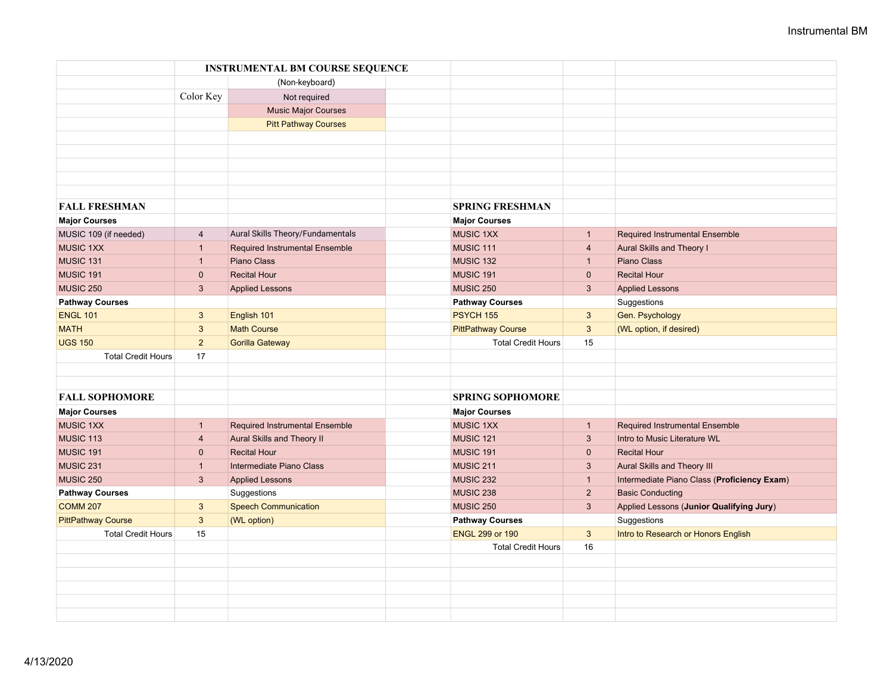|                           |                | <b>INSTRUMENTAL BM COURSE SEQUENCE</b> |                           |                |                                             |
|---------------------------|----------------|----------------------------------------|---------------------------|----------------|---------------------------------------------|
|                           |                | (Non-keyboard)                         |                           |                |                                             |
|                           | Color Key      | Not required                           |                           |                |                                             |
|                           |                | <b>Music Major Courses</b>             |                           |                |                                             |
|                           |                | <b>Pitt Pathway Courses</b>            |                           |                |                                             |
|                           |                |                                        |                           |                |                                             |
|                           |                |                                        |                           |                |                                             |
|                           |                |                                        |                           |                |                                             |
|                           |                |                                        |                           |                |                                             |
|                           |                |                                        |                           |                |                                             |
| <b>FALL FRESHMAN</b>      |                |                                        | <b>SPRING FRESHMAN</b>    |                |                                             |
| <b>Major Courses</b>      |                |                                        | <b>Major Courses</b>      |                |                                             |
| MUSIC 109 (if needed)     | $\overline{4}$ | Aural Skills Theory/Fundamentals       | <b>MUSIC 1XX</b>          | $\mathbf{1}$   | <b>Required Instrumental Ensemble</b>       |
| <b>MUSIC 1XX</b>          | $\overline{1}$ | Required Instrumental Ensemble         | MUSIC 111                 | $\overline{4}$ | Aural Skills and Theory I                   |
| MUSIC 131                 | $\mathbf{1}$   | <b>Piano Class</b>                     | <b>MUSIC 132</b>          | $\mathbf{1}$   | Piano Class                                 |
| MUSIC 191                 | $\mathbf{0}$   | <b>Recital Hour</b>                    | MUSIC 191                 | $\mathbf{0}$   | <b>Recital Hour</b>                         |
| <b>MUSIC 250</b>          | $\mathbf{3}$   | <b>Applied Lessons</b>                 | MUSIC 250                 | $\mathbf{3}$   | <b>Applied Lessons</b>                      |
| <b>Pathway Courses</b>    |                |                                        | <b>Pathway Courses</b>    |                | Suggestions                                 |
| <b>ENGL 101</b>           | $\mathbf{3}$   | English 101                            | PSYCH 155                 | $\mathbf{3}$   | Gen. Psychology                             |
| <b>MATH</b>               | $\mathbf{3}$   | <b>Math Course</b>                     | <b>PittPathway Course</b> | $\mathbf{3}$   | (WL option, if desired)                     |
| <b>UGS 150</b>            | 2              | <b>Gorilla Gateway</b>                 | <b>Total Credit Hours</b> | 15             |                                             |
| <b>Total Credit Hours</b> | 17             |                                        |                           |                |                                             |
|                           |                |                                        |                           |                |                                             |
|                           |                |                                        |                           |                |                                             |
| <b>FALL SOPHOMORE</b>     |                |                                        | <b>SPRING SOPHOMORE</b>   |                |                                             |
| <b>Major Courses</b>      |                |                                        | <b>Major Courses</b>      |                |                                             |
| <b>MUSIC 1XX</b>          | $\mathbf{1}$   | <b>Required Instrumental Ensemble</b>  | <b>MUSIC 1XX</b>          | $\mathbf{1}$   | <b>Required Instrumental Ensemble</b>       |
| MUSIC 113                 | $\overline{4}$ | Aural Skills and Theory II             | <b>MUSIC 121</b>          | $\mathbf{3}$   | Intro to Music Literature WL                |
| MUSIC 191                 | $\mathbf{0}$   | <b>Recital Hour</b>                    | MUSIC 191                 | $\mathbf{0}$   | <b>Recital Hour</b>                         |
| MUSIC 231                 | $\mathbf{1}$   | Intermediate Piano Class               | <b>MUSIC 211</b>          | $\mathbf{3}$   | <b>Aural Skills and Theory III</b>          |
| <b>MUSIC 250</b>          | $\mathbf{3}$   | <b>Applied Lessons</b>                 | MUSIC 232                 | $\mathbf{1}$   | Intermediate Piano Class (Proficiency Exam) |
| <b>Pathway Courses</b>    |                | Suggestions                            | MUSIC 238                 | $\overline{2}$ | <b>Basic Conducting</b>                     |
| <b>COMM 207</b>           | $\mathbf{3}$   | <b>Speech Communication</b>            | MUSIC 250                 | $\mathbf{3}$   | Applied Lessons (Junior Qualifying Jury)    |
| <b>PittPathway Course</b> | $\mathbf{3}$   | (WL option)                            | <b>Pathway Courses</b>    |                | Suggestions                                 |
| <b>Total Credit Hours</b> | 15             |                                        | <b>ENGL 299 or 190</b>    | $\mathbf{3}$   | Intro to Research or Honors English         |
|                           |                |                                        | <b>Total Credit Hours</b> | 16             |                                             |
|                           |                |                                        |                           |                |                                             |
|                           |                |                                        |                           |                |                                             |
|                           |                |                                        |                           |                |                                             |
|                           |                |                                        |                           |                |                                             |
|                           |                |                                        |                           |                |                                             |